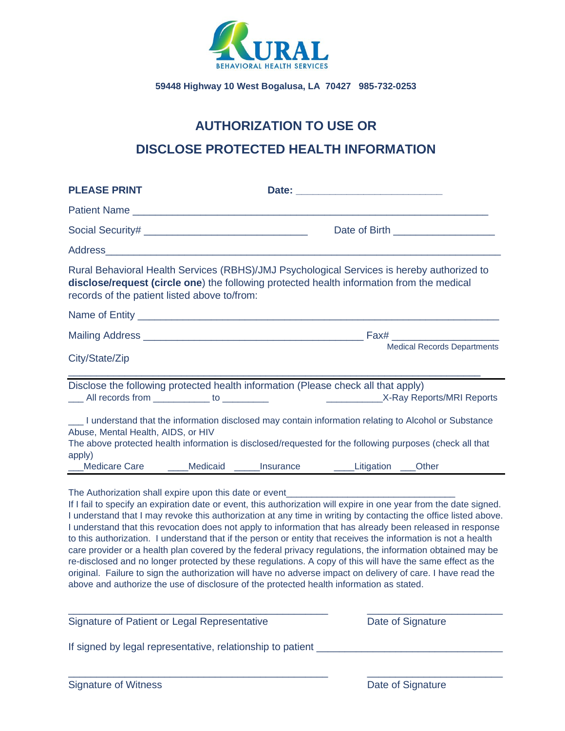

# **AUTHORIZATION TO USE OR DISCLOSE PROTECTED HEALTH INFORMATION**

| <b>PLEASE PRINT</b>                                                                                                                                                                                                                                                                                                                                                                                                                                                                                                                                                                                                                                                                                                                                                                                                                                                                                                                                                                               |  |                                    |  |  |  |
|---------------------------------------------------------------------------------------------------------------------------------------------------------------------------------------------------------------------------------------------------------------------------------------------------------------------------------------------------------------------------------------------------------------------------------------------------------------------------------------------------------------------------------------------------------------------------------------------------------------------------------------------------------------------------------------------------------------------------------------------------------------------------------------------------------------------------------------------------------------------------------------------------------------------------------------------------------------------------------------------------|--|------------------------------------|--|--|--|
|                                                                                                                                                                                                                                                                                                                                                                                                                                                                                                                                                                                                                                                                                                                                                                                                                                                                                                                                                                                                   |  |                                    |  |  |  |
|                                                                                                                                                                                                                                                                                                                                                                                                                                                                                                                                                                                                                                                                                                                                                                                                                                                                                                                                                                                                   |  | Date of Birth <b>Exercise 2008</b> |  |  |  |
| Address and the contract of the contract of the contract of the contract of the contract of the contract of the contract of the contract of the contract of the contract of the contract of the contract of the contract of th                                                                                                                                                                                                                                                                                                                                                                                                                                                                                                                                                                                                                                                                                                                                                                    |  |                                    |  |  |  |
| Rural Behavioral Health Services (RBHS)/JMJ Psychological Services is hereby authorized to<br>disclose/request (circle one) the following protected health information from the medical<br>records of the patient listed above to/from:                                                                                                                                                                                                                                                                                                                                                                                                                                                                                                                                                                                                                                                                                                                                                           |  |                                    |  |  |  |
|                                                                                                                                                                                                                                                                                                                                                                                                                                                                                                                                                                                                                                                                                                                                                                                                                                                                                                                                                                                                   |  |                                    |  |  |  |
|                                                                                                                                                                                                                                                                                                                                                                                                                                                                                                                                                                                                                                                                                                                                                                                                                                                                                                                                                                                                   |  |                                    |  |  |  |
| City/State/Zip                                                                                                                                                                                                                                                                                                                                                                                                                                                                                                                                                                                                                                                                                                                                                                                                                                                                                                                                                                                    |  | <b>Medical Records Departments</b> |  |  |  |
| Disclose the following protected health information (Please check all that apply)<br>All records from ____________ to _________<br>I understand that the information disclosed may contain information relating to Alcohol or Substance<br>Abuse, Mental Health, AIDS, or HIV<br>The above protected health information is disclosed/requested for the following purposes (check all that<br>apply)<br><b>Medicare Care</b><br>Medicaid _____Insurance ______Litigation ___Other                                                                                                                                                                                                                                                                                                                                                                                                                                                                                                                  |  |                                    |  |  |  |
| The Authorization shall expire upon this date or event__________________________<br>If I fail to specify an expiration date or event, this authorization will expire in one year from the date signed.<br>I understand that I may revoke this authorization at any time in writing by contacting the office listed above.<br>I understand that this revocation does not apply to information that has already been released in response<br>to this authorization. I understand that if the person or entity that receives the information is not a health<br>care provider or a health plan covered by the federal privacy regulations, the information obtained may be<br>re-disclosed and no longer protected by these regulations. A copy of this will have the same effect as the<br>original. Failure to sign the authorization will have no adverse impact on delivery of care. I have read the<br>above and authorize the use of disclosure of the protected health information as stated. |  |                                    |  |  |  |

| Signature of Patient or Legal Representative               | Date of Signature |  |  |  |
|------------------------------------------------------------|-------------------|--|--|--|
| If signed by legal representative, relationship to patient |                   |  |  |  |
|                                                            |                   |  |  |  |
| Signature of Witness                                       | Date of Signature |  |  |  |

 $\_$  , and the set of the set of the set of the set of the set of the set of the set of the set of the set of the set of the set of the set of the set of the set of the set of the set of the set of the set of the set of th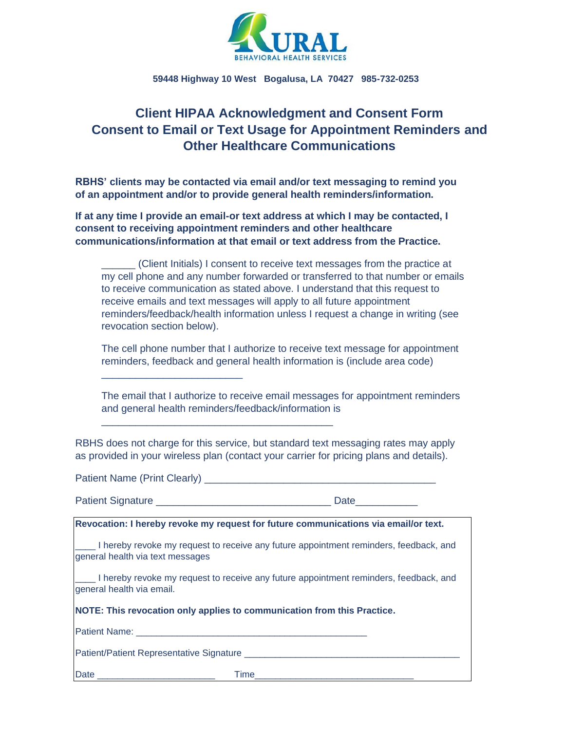

# **Client HIPAA Acknowledgment and Consent Form Consent to Email or Text Usage for Appointment Reminders and Other Healthcare Communications**

**RBHS' clients may be contacted via email and/or text messaging to remind you of an appointment and/or to provide general health reminders/information.**

**If at any time I provide an email-or text address at which I may be contacted, I consent to receiving appointment reminders and other healthcare communications/information at that email or text address from the Practice.**

| (Client Initials) I consent to receive text messages from the practice at       |
|---------------------------------------------------------------------------------|
| my cell phone and any number forwarded or transferred to that number or emails  |
| to receive communication as stated above. I understand that this request to     |
| receive emails and text messages will apply to all future appointment           |
| reminders/feedback/health information unless I request a change in writing (see |
| revocation section below).                                                      |

The cell phone number that I authorize to receive text message for appointment reminders, feedback and general health information is (include area code)

The email that I authorize to receive email messages for appointment reminders and general health reminders/feedback/information is

RBHS does not charge for this service, but standard text messaging rates may apply as provided in your wireless plan (contact your carrier for pricing plans and details).

\_\_\_\_\_\_\_\_\_\_\_\_\_\_\_\_\_\_\_\_\_\_\_\_\_

\_\_\_\_\_\_\_\_\_\_\_\_\_\_\_\_\_\_\_\_\_\_\_\_\_\_\_\_\_\_\_\_\_\_\_\_\_\_\_\_\_

|                                  | Revocation: I hereby revoke my request for future communications via email/or text.   |
|----------------------------------|---------------------------------------------------------------------------------------|
| general health via text messages | I hereby revoke my request to receive any future appointment reminders, feedback, and |
| general health via email.        | I hereby revoke my request to receive any future appointment reminders, feedback, and |
|                                  | NOTE: This revocation only applies to communication from this Practice.               |
|                                  |                                                                                       |
|                                  |                                                                                       |
|                                  |                                                                                       |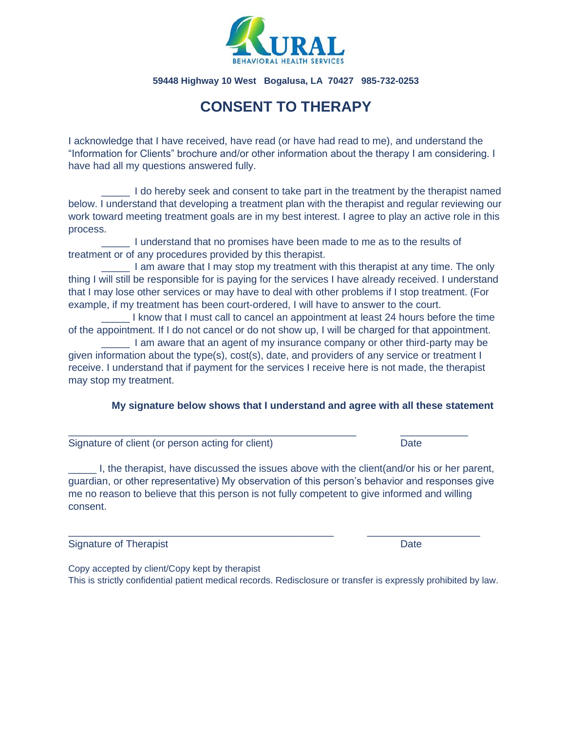

# **CONSENT TO THERAPY**

I acknowledge that I have received, have read (or have had read to me), and understand the "Information for Clients" brochure and/or other information about the therapy I am considering. I have had all my questions answered fully.

\_\_\_\_\_ I do hereby seek and consent to take part in the treatment by the therapist named below. I understand that developing a treatment plan with the therapist and regular reviewing our work toward meeting treatment goals are in my best interest. I agree to play an active role in this process.

\_\_\_\_\_ I understand that no promises have been made to me as to the results of treatment or of any procedures provided by this therapist.

I am aware that I may stop my treatment with this therapist at any time. The only thing I will still be responsible for is paying for the services I have already received. I understand that I may lose other services or may have to deal with other problems if I stop treatment. (For example, if my treatment has been court-ordered, I will have to answer to the court.

\_\_\_\_\_ I know that I must call to cancel an appointment at least 24 hours before the time of the appointment. If I do not cancel or do not show up, I will be charged for that appointment.

I am aware that an agent of my insurance company or other third-party may be given information about the type(s), cost(s), date, and providers of any service or treatment I receive. I understand that if payment for the services I receive here is not made, the therapist may stop my treatment.

 $\_$  , and the set of the set of the set of the set of the set of the set of the set of the set of the set of the set of the set of the set of the set of the set of the set of the set of the set of the set of the set of th

### **My signature below shows that I understand and agree with all these statement**

Signature of client (or person acting for client) Date Date

\_\_\_\_\_ I, the therapist, have discussed the issues above with the client(and/or his or her parent, guardian, or other representative) My observation of this person's behavior and responses give me no reason to believe that this person is not fully competent to give informed and willing consent.

\_\_\_\_\_\_\_\_\_\_\_\_\_\_\_\_\_\_\_\_\_\_\_\_\_\_\_\_\_\_\_\_\_\_\_\_\_\_\_\_\_\_\_\_\_\_\_ \_\_\_\_\_\_\_\_\_\_\_\_\_\_\_\_\_\_\_\_

Signature of Therapist **Date** Date **Date** Date **Date** 

Copy accepted by client/Copy kept by therapist This is strictly confidential patient medical records. Redisclosure or transfer is expressly prohibited by law.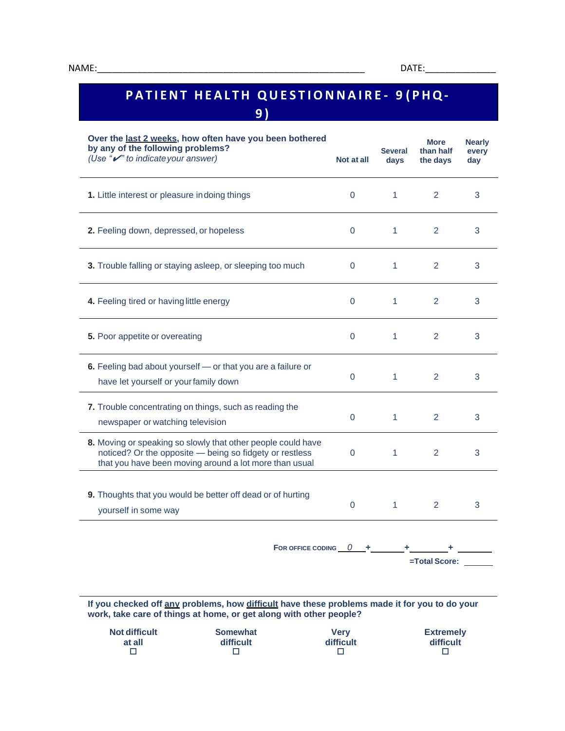**at all**  $\Box$ 

# **PATIENT HEALTH QUESTIONNAIRE- 9 (PHQ-9 )**

| Over the last 2 weeks, how often have you been bothered<br>by any of the following problems?<br>(Use " $\nu$ " to indicate your answer)<br>Not at all |                                                                                                                                                                                   |             | <b>Several</b><br>days | <b>More</b><br>than half<br>the days | <b>Nearly</b><br>every<br>day |
|-------------------------------------------------------------------------------------------------------------------------------------------------------|-----------------------------------------------------------------------------------------------------------------------------------------------------------------------------------|-------------|------------------------|--------------------------------------|-------------------------------|
| 1. Little interest or pleasure indoing things                                                                                                         |                                                                                                                                                                                   | $\Omega$    | $\mathbf{1}$           | 2                                    | 3                             |
| 2. Feeling down, depressed, or hopeless                                                                                                               |                                                                                                                                                                                   | $\mathbf 0$ | $\mathbf{1}$           | 2                                    | 3                             |
|                                                                                                                                                       | 3. Trouble falling or staying asleep, or sleeping too much                                                                                                                        | $\Omega$    | $\mathbf{1}$           | 2                                    | 3                             |
| 4. Feeling tired or having little energy                                                                                                              |                                                                                                                                                                                   | 0           | 1                      | 2                                    | 3                             |
| 5. Poor appetite or overeating                                                                                                                        |                                                                                                                                                                                   | 0           | $\mathbf{1}$           | 2                                    | 3                             |
| have let yourself or your family down                                                                                                                 | 6. Feeling bad about yourself - or that you are a failure or                                                                                                                      | 0           | $\mathbf{1}$           | 2                                    | 3                             |
| newspaper or watching television                                                                                                                      | 7. Trouble concentrating on things, such as reading the                                                                                                                           | 0           | $\mathbf{1}$           | 2                                    | 3                             |
|                                                                                                                                                       | 8. Moving or speaking so slowly that other people could have<br>noticed? Or the opposite - being so fidgety or restless<br>that you have been moving around a lot more than usual | 0           | $\mathbf{1}$           | 2                                    | 3                             |
| yourself in some way                                                                                                                                  | 9. Thoughts that you would be better off dead or of hurting                                                                                                                       | 0           | 1.                     | 2                                    | 3                             |
|                                                                                                                                                       | FOR OFFICE CODING $0 +$ $+$ $+$ $+$ $+$ $+$ $-$                                                                                                                                   |             |                        |                                      |                               |
|                                                                                                                                                       |                                                                                                                                                                                   |             |                        | =Total Score:                        |                               |
|                                                                                                                                                       | If you checked off any problems, how difficult have these problems made it for you to do your<br>work, take care of things at home, or get along with other people?               |             |                        |                                      |                               |
| <b>Not difficult</b>                                                                                                                                  | <b>Somewhat</b>                                                                                                                                                                   | <b>Very</b> |                        | <b>Extremely</b>                     |                               |

**difficult**  $\Box$ 

**difficult**  $\Box$ 

**difficult**  $\Box$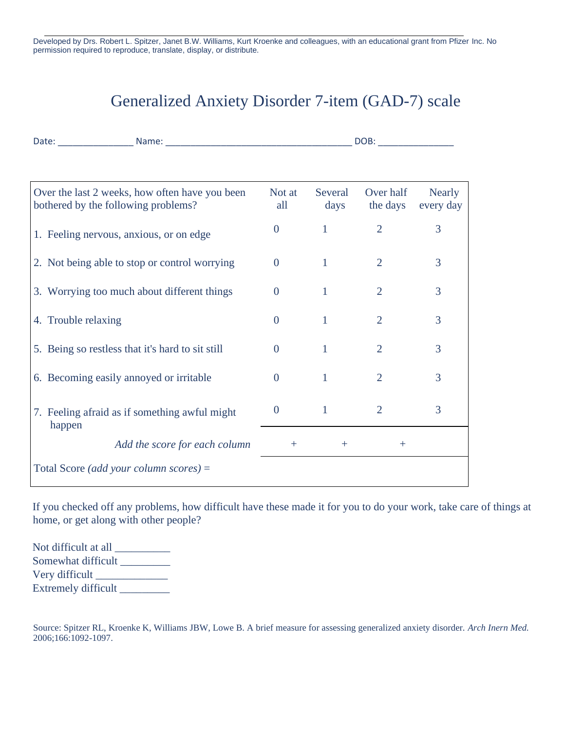Developed by Drs. Robert L. Spitzer, Janet B.W. Williams, Kurt Kroenke and colleagues, with an educational grant from Pfizer Inc. No permission required to reproduce, translate, display, or distribute.

# Generalized Anxiety Disorder 7-item (GAD-7) scale

|                                                                                       | DOB: the contract of the contract of the contract of the contract of the contract of the contract of the contract of the contract of the contract of the contract of the contract of the contract of the contract of the contr |                 |                       |                            |
|---------------------------------------------------------------------------------------|--------------------------------------------------------------------------------------------------------------------------------------------------------------------------------------------------------------------------------|-----------------|-----------------------|----------------------------|
|                                                                                       |                                                                                                                                                                                                                                |                 |                       |                            |
| Over the last 2 weeks, how often have you been<br>bothered by the following problems? | Not at<br>all                                                                                                                                                                                                                  | Several<br>days | Over half<br>the days | <b>Nearly</b><br>every day |
| 1. Feeling nervous, anxious, or on edge                                               | $\theta$                                                                                                                                                                                                                       | $\mathbf{1}$    | $\overline{2}$        | 3                          |
| 2. Not being able to stop or control worrying                                         | $\overline{0}$                                                                                                                                                                                                                 | $\mathbf{1}$    | 2                     | 3                          |
| 3. Worrying too much about different things                                           | $\overline{0}$                                                                                                                                                                                                                 | $\mathbf{1}$    | $\overline{2}$        | 3                          |
| 4. Trouble relaxing                                                                   | $\Omega$                                                                                                                                                                                                                       | 1               | $\overline{2}$        | 3                          |
| 5. Being so restless that it's hard to sit still                                      | $\overline{0}$                                                                                                                                                                                                                 | 1               | $\overline{2}$        | 3                          |
| 6. Becoming easily annoyed or irritable                                               | $\Omega$                                                                                                                                                                                                                       | $\mathbf{1}$    | $\overline{2}$        | 3                          |
| 7. Feeling afraid as if something awful might<br>happen                               | $\overline{0}$                                                                                                                                                                                                                 | $\mathbf{1}$    | $\overline{2}$        | 3                          |
| Add the score for each column                                                         | $+$                                                                                                                                                                                                                            | $^{+}$          | $^{+}$                |                            |
| Total Score (add your column scores) =                                                |                                                                                                                                                                                                                                |                 |                       |                            |

If you checked off any problems, how difficult have these made it for you to do your work, take care of things at home, or get along with other people?

Not difficult at all \_\_\_\_\_\_\_\_\_\_ Somewhat difficult Very difficult \_\_\_\_\_\_\_\_\_\_\_\_\_ Extremely difficult \_\_\_\_\_\_\_\_\_\_

Source: Spitzer RL, Kroenke K, Williams JBW, Lowe B. A brief measure for assessing generalized anxiety disorder. *Arch Inern Med.*  2006;166:1092-1097.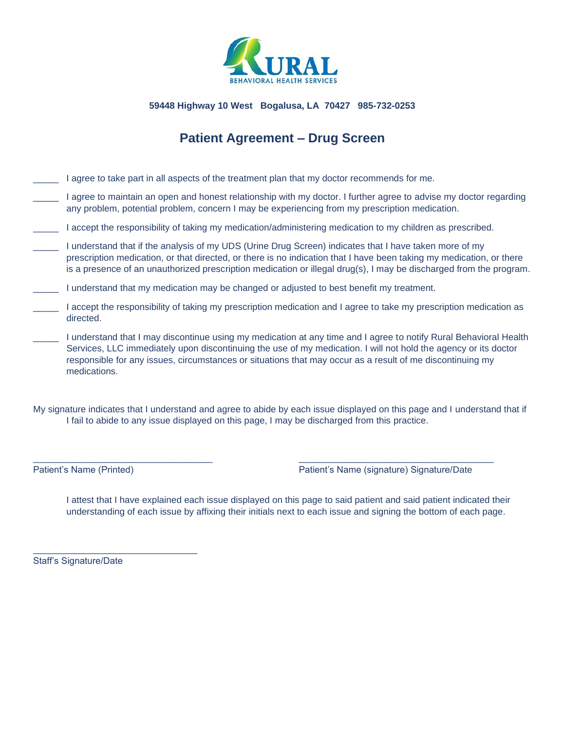

# **Patient Agreement – Drug Screen**

- I agree to take part in all aspects of the treatment plan that my doctor recommends for me.
- I agree to maintain an open and honest relationship with my doctor. I further agree to advise my doctor regarding any problem, potential problem, concern I may be experiencing from my prescription medication.
- \_\_\_\_\_ I accept the responsibility of taking my medication/administering medication to my children as prescribed.
- \_\_\_\_\_ I understand that if the analysis of my UDS (Urine Drug Screen) indicates that I have taken more of my prescription medication, or that directed, or there is no indication that I have been taking my medication, or there is a presence of an unauthorized prescription medication or illegal drug(s), I may be discharged from the program.
- I understand that my medication may be changed or adjusted to best benefit my treatment.
- I accept the responsibility of taking my prescription medication and I agree to take my prescription medication as directed.
- I understand that I may discontinue using my medication at any time and I agree to notify Rural Behavioral Health Services, LLC immediately upon discontinuing the use of my medication. I will not hold the agency or its doctor responsible for any issues, circumstances or situations that may occur as a result of me discontinuing my medications.

My signature indicates that I understand and agree to abide by each issue displayed on this page and I understand that if I fail to abide to any issue displayed on this page, I may be discharged from this practice.

\_\_\_\_\_\_\_\_\_\_\_\_\_\_\_\_\_\_\_\_\_\_\_\_\_\_\_\_\_\_\_\_\_\_\_ \_\_\_\_\_\_\_\_\_\_\_\_\_\_\_\_\_\_\_\_\_\_\_\_\_\_\_\_\_\_\_\_\_\_\_\_\_\_

Patient's Name (Printed) Patient's Name (signature) Signature/Date

I attest that I have explained each issue displayed on this page to said patient and said patient indicated their understanding of each issue by affixing their initials next to each issue and signing the bottom of each page.

Staff's Signature/Date

\_\_\_\_\_\_\_\_\_\_\_\_\_\_\_\_\_\_\_\_\_\_\_\_\_\_\_\_\_\_\_\_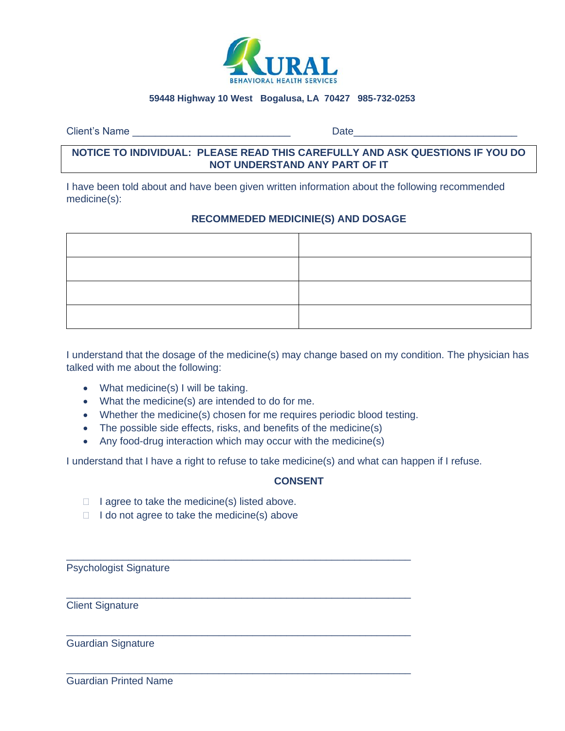

Client's Name **Date** 

## **NOTICE TO INDIVIDUAL: PLEASE READ THIS CAREFULLY AND ASK QUESTIONS IF YOU DO NOT UNDERSTAND ANY PART OF IT**

I have been told about and have been given written information about the following recommended medicine(s):

## **RECOMMEDED MEDICINIE(S) AND DOSAGE**

I understand that the dosage of the medicine(s) may change based on my condition. The physician has talked with me about the following:

- What medicine(s) I will be taking.
- What the medicine(s) are intended to do for me.
- Whether the medicine(s) chosen for me requires periodic blood testing.
- The possible side effects, risks, and benefits of the medicine(s)
- Any food-drug interaction which may occur with the medicine(s)

\_\_\_\_\_\_\_\_\_\_\_\_\_\_\_\_\_\_\_\_\_\_\_\_\_\_\_\_\_\_\_\_\_\_\_\_\_\_\_\_\_\_\_\_\_\_\_\_\_\_\_\_\_\_\_\_\_\_\_\_\_

\_\_\_\_\_\_\_\_\_\_\_\_\_\_\_\_\_\_\_\_\_\_\_\_\_\_\_\_\_\_\_\_\_\_\_\_\_\_\_\_\_\_\_\_\_\_\_\_\_\_\_\_\_\_\_\_\_\_\_\_\_

\_\_\_\_\_\_\_\_\_\_\_\_\_\_\_\_\_\_\_\_\_\_\_\_\_\_\_\_\_\_\_\_\_\_\_\_\_\_\_\_\_\_\_\_\_\_\_\_\_\_\_\_\_\_\_\_\_\_\_\_\_

\_\_\_\_\_\_\_\_\_\_\_\_\_\_\_\_\_\_\_\_\_\_\_\_\_\_\_\_\_\_\_\_\_\_\_\_\_\_\_\_\_\_\_\_\_\_\_\_\_\_\_\_\_\_\_\_\_\_\_\_\_

I understand that I have a right to refuse to take medicine(s) and what can happen if I refuse.

### **CONSENT**

- $\Box$  I agree to take the medicine(s) listed above.
- $\Box$  I do not agree to take the medicine(s) above

Psychologist Signature

Client Signature

Guardian Signature

Guardian Printed Name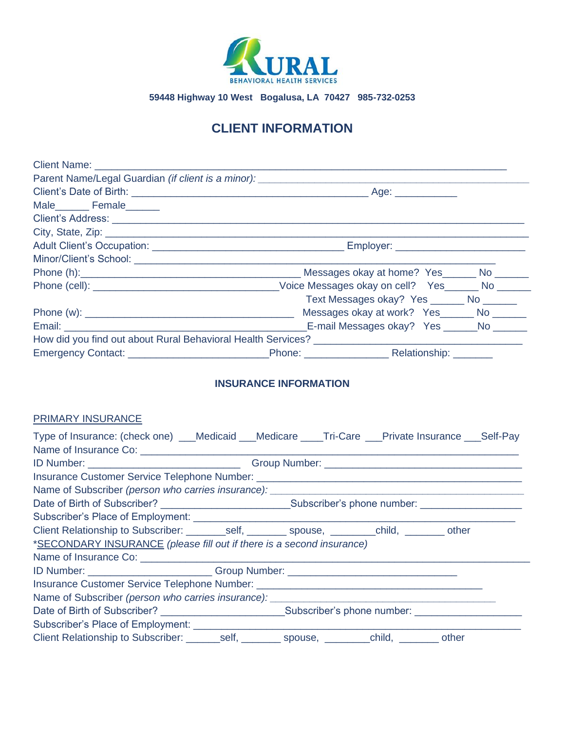

# **CLIENT INFORMATION**

| Client Name: <u>Name:</u> Name: Name: Name: Name: Name: Name: Name: Name: Name: Name: Name: Name: Name: Name: Name: Name: Name: Name: Name: Name: Name: Name: Name: Name: Name: Name: Name: Name: Name: Name: Name: Name: Name: Nam |                                                                                                                 |
|-------------------------------------------------------------------------------------------------------------------------------------------------------------------------------------------------------------------------------------|-----------------------------------------------------------------------------------------------------------------|
| Parent Name/Legal Guardian (if client is a minor): ______________________________                                                                                                                                                   |                                                                                                                 |
|                                                                                                                                                                                                                                     |                                                                                                                 |
|                                                                                                                                                                                                                                     |                                                                                                                 |
|                                                                                                                                                                                                                                     |                                                                                                                 |
|                                                                                                                                                                                                                                     |                                                                                                                 |
|                                                                                                                                                                                                                                     | Adult Client's Occupation: Adult Client's Occupation: Adult Client's Occupation:                                |
|                                                                                                                                                                                                                                     |                                                                                                                 |
|                                                                                                                                                                                                                                     | Phone (h): No Construction of Messages okay at home? Yes No Construction of the Messages okay at home? Yes      |
|                                                                                                                                                                                                                                     |                                                                                                                 |
|                                                                                                                                                                                                                                     | Text Messages okay? Yes ________ No _______                                                                     |
|                                                                                                                                                                                                                                     | Messages okay at work? Yes______ No _____                                                                       |
|                                                                                                                                                                                                                                     |                                                                                                                 |
|                                                                                                                                                                                                                                     | How did you find out about Rural Behavioral Health Services? The Community of the Community of the Community of |
|                                                                                                                                                                                                                                     |                                                                                                                 |

## **INSURANCE INFORMATION**

## PRIMARY INSURANCE

| Type of Insurance: (check one) ___Medicaid ___Medicare ____Tri-Care ___Private Insurance ___Self-Pay          |  |  |  |  |  |
|---------------------------------------------------------------------------------------------------------------|--|--|--|--|--|
|                                                                                                               |  |  |  |  |  |
|                                                                                                               |  |  |  |  |  |
|                                                                                                               |  |  |  |  |  |
|                                                                                                               |  |  |  |  |  |
| Date of Birth of Subscriber? _________________________________Subscriber's phone number: ____________________ |  |  |  |  |  |
|                                                                                                               |  |  |  |  |  |
| Client Relationship to Subscriber: _________self, _________ spouse, _________child, _________ other           |  |  |  |  |  |
| *SECONDARY INSURANCE (please fill out if there is a second insurance)                                         |  |  |  |  |  |
|                                                                                                               |  |  |  |  |  |
| ID Number: __________________________Group Number: _____________________________                              |  |  |  |  |  |
| Insurance Customer Service Telephone Number: ___________________________________                              |  |  |  |  |  |
| Name of Subscriber (person who carries insurance): _____________________________                              |  |  |  |  |  |
|                                                                                                               |  |  |  |  |  |
|                                                                                                               |  |  |  |  |  |
| Client Relationship to Subscriber: _______self, _________ spouse, ________child, ________ other               |  |  |  |  |  |